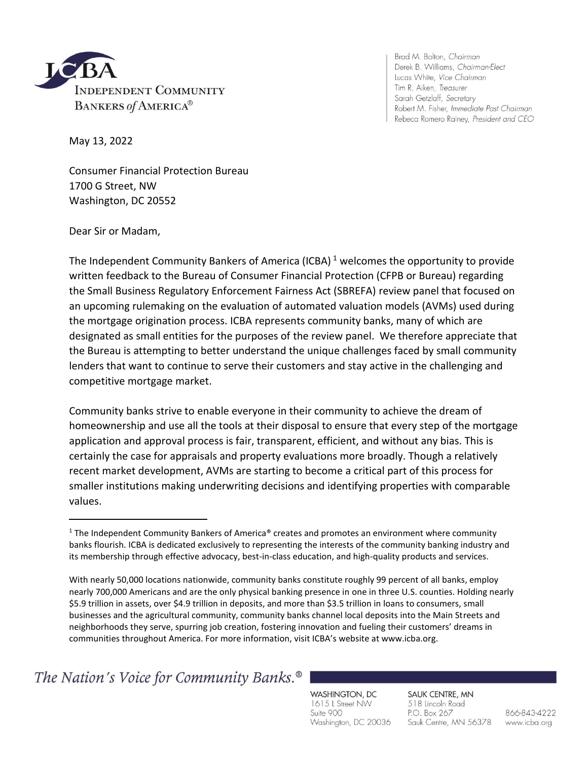

Brad M. Bolton, Chairman Derek B. Williams, Chairman-Elect Lucas White, Vice Chairman Tim R. Aiken, Treasurer Sarah Getzlaff, Secretary Robert M. Fisher, Immediate Past Chairman Rebeca Romero Rainey, President and CEO

May 13, 2022

Consumer Financial Protection Bureau 1700 G Street, NW Washington, DC 20552

Dear Sir or Madam,

The Independent Community Bankers of America (ICBA)<sup>1</sup> welcomes the opportunity to provide written feedback to the Bureau of Consumer Financial Protection (CFPB or Bureau) regarding the Small Business Regulatory Enforcement Fairness Act (SBREFA) review panel that focused on an upcoming rulemaking on the evaluation of automated valuation models (AVMs) used during the mortgage origination process. ICBA represents community banks, many of which are designated as small entities for the purposes of the review panel. We therefore appreciate that the Bureau is attempting to better understand the unique challenges faced by small community lenders that want to continue to serve their customers and stay active in the challenging and competitive mortgage market.

Community banks strive to enable everyone in their community to achieve the dream of homeownership and use all the tools at their disposal to ensure that every step of the mortgage application and approval process is fair, transparent, efficient, and without any bias. This is certainly the case for appraisals and property evaluations more broadly. Though a relatively recent market development, AVMs are starting to become a critical part of this process for smaller institutions making underwriting decisions and identifying properties with comparable values.

The Nation's Voice for Community Banks.<sup>®</sup>

WASHINGTON, DC 1615 L Street NW Suite 900 Washington, DC 20036

SAUK CENTRE, MN 518 Lincoln Road P.O. Box 267 Sauk Centre, MN 56378

866-843-4222 www.icba.org

<sup>&</sup>lt;sup>1</sup> The Independent Community Bankers of America® creates and promotes an environment where community banks flourish. ICBA is dedicated exclusively to representing the interests of the community banking industry and its membership through effective advocacy, best-in-class education, and high-quality products and services.

With nearly 50,000 locations nationwide, community banks constitute roughly 99 percent of all banks, employ nearly 700,000 Americans and are the only physical banking presence in one in three U.S. counties. Holding nearly \$5.9 trillion in assets, over \$4.9 trillion in deposits, and more than \$3.5 trillion in loans to consumers, small businesses and the agricultural community, community banks channel local deposits into the Main Streets and neighborhoods they serve, spurring job creation, fostering innovation and fueling their customers' dreams in communities throughout America. For more information, visit ICBA's website at www.icba.org.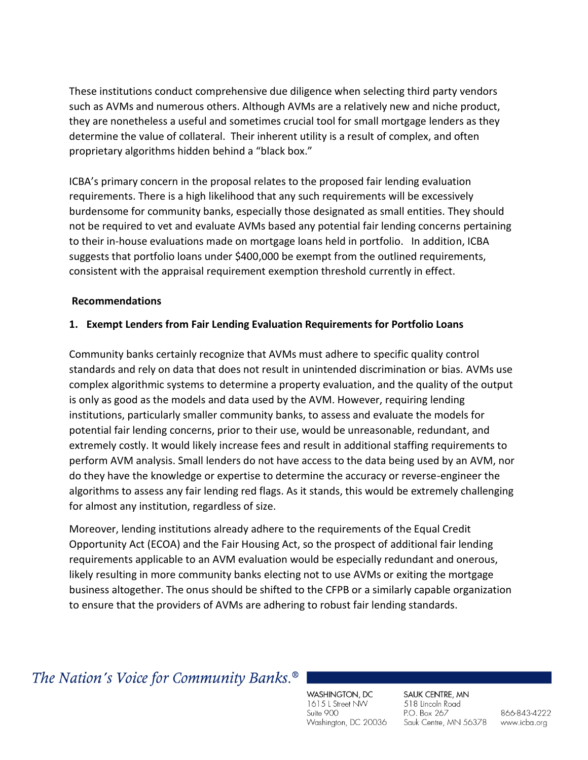These institutions conduct comprehensive due diligence when selecting third party vendors such as AVMs and numerous others. Although AVMs are a relatively new and niche product, they are nonetheless a useful and sometimes crucial tool for small mortgage lenders as they determine the value of collateral. Their inherent utility is a result of complex, and often proprietary algorithms hidden behind a "black box."

ICBA's primary concern in the proposal relates to the proposed fair lending evaluation requirements. There is a high likelihood that any such requirements will be excessively burdensome for community banks, especially those designated as small entities. They should not be required to vet and evaluate AVMs based any potential fair lending concerns pertaining to their in-house evaluations made on mortgage loans held in portfolio. In addition, ICBA suggests that portfolio loans under \$400,000 be exempt from the outlined requirements, consistent with the appraisal requirement exemption threshold currently in effect.

## **Recommendations**

## **1. Exempt Lenders from Fair Lending Evaluation Requirements for Portfolio Loans**

Community banks certainly recognize that AVMs must adhere to specific quality control standards and rely on data that does not result in unintended discrimination or bias. AVMs use complex algorithmic systems to determine a property evaluation, and the quality of the output is only as good as the models and data used by the AVM. However, requiring lending institutions, particularly smaller community banks, to assess and evaluate the models for potential fair lending concerns, prior to their use, would be unreasonable, redundant, and extremely costly. It would likely increase fees and result in additional staffing requirements to perform AVM analysis. Small lenders do not have access to the data being used by an AVM, nor do they have the knowledge or expertise to determine the accuracy or reverse-engineer the algorithms to assess any fair lending red flags. As it stands, this would be extremely challenging for almost any institution, regardless of size.

Moreover, lending institutions already adhere to the requirements of the Equal Credit Opportunity Act (ECOA) and the Fair Housing Act, so the prospect of additional fair lending requirements applicable to an AVM evaluation would be especially redundant and onerous, likely resulting in more community banks electing not to use AVMs or exiting the mortgage business altogether. The onus should be shifted to the CFPB or a similarly capable organization to ensure that the providers of AVMs are adhering to robust fair lending standards.

## The Nation's Voice for Community Banks.<sup>®</sup>

WASHINGTON, DC 1615 L Street NW Suite 900 Washington, DC 20036

SAUK CENTRE, MN 518 Lincoln Road P.O. Box 267 Sauk Centre, MN 56378

866-843-4222 www.icba.org